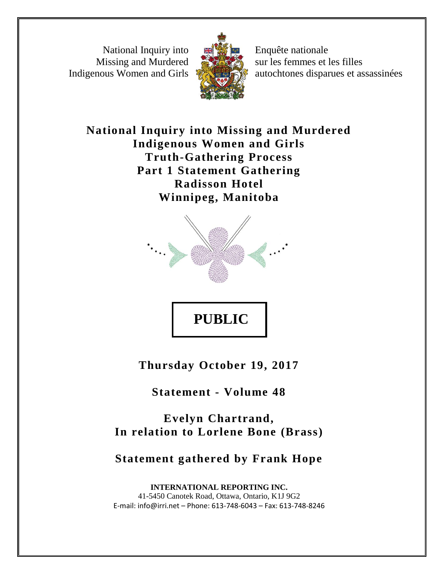National Inquiry into Missing and Murdered Indigenous Women and Girls



Enquête nationale sur les femmes et les filles autochtones disparues et assassinées

**National Inquiry into Missing and Murdered Indigenous Women and Girls Truth-Gathering Process Part 1 Statement Gathering Radisson Hotel Winnipeg, Manitoba**



**Thursday October 19, 2017**

**Statement - Volume 48**

**Evelyn Chartrand, In relation to Lorlene Bone (Brass)**

**Statement gathered by Frank Hope**

**INTERNATIONAL REPORTING INC.** 41-5450 Canotek Road, Ottawa, Ontario, K1J 9G2 E-mail: info@irri.net – Phone: 613-748-6043 – Fax: 613-748-8246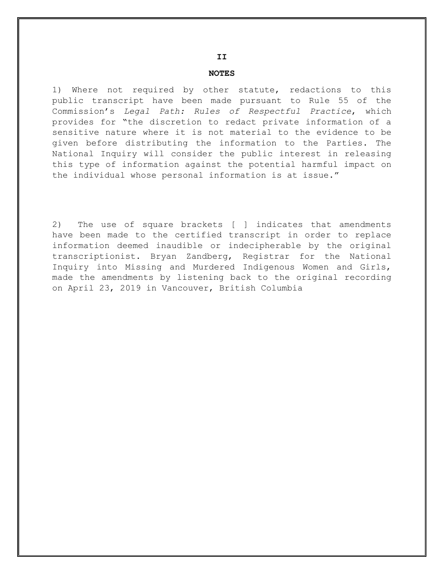#### **NOTES**

1) Where not required by other statute, redactions to this public transcript have been made pursuant to Rule 55 of the Commission's *Legal Path: Rules of Respectful Practice*, which provides for "the discretion to redact private information of a sensitive nature where it is not material to the evidence to be given before distributing the information to the Parties. The National Inquiry will consider the public interest in releasing this type of information against the potential harmful impact on the individual whose personal information is at issue."

2) The use of square brackets [ ] indicates that amendments have been made to the certified transcript in order to replace information deemed inaudible or indecipherable by the original transcriptionist. Bryan Zandberg, Registrar for the National Inquiry into Missing and Murdered Indigenous Women and Girls, made the amendments by listening back to the original recording on April 23, 2019 in Vancouver, British Columbia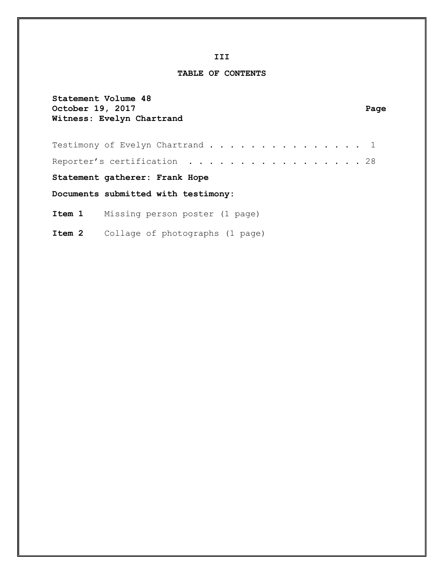#### **III**

#### **TABLE OF CONTENTS**

| October 19, 2017 | Statement Volume 48<br>Witness: Evelyn Chartrand | Page |
|------------------|--------------------------------------------------|------|
|                  | Testimony of Evelyn Chartrand 1                  |      |
|                  | Reporter's certification 28                      |      |
|                  | Statement gatherer: Frank Hope                   |      |
|                  | Documents submitted with testimony:              |      |
|                  | <b>Item 1</b> Missing person poster (1 page)     |      |
|                  | <b>Item 2</b> Collage of photographs (1 page)    |      |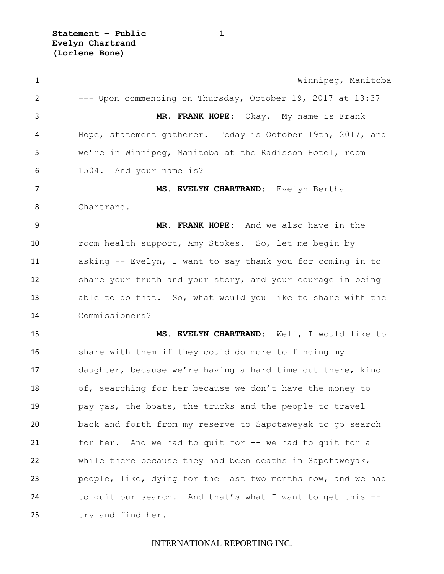**Statement – Public 1 Evelyn Chartrand (Lorlene Bone)**

 Winnipeg, Manitoba --- Upon commencing on Thursday, October 19, 2017 at 13:37 **MR. FRANK HOPE:** Okay. My name is Frank Hope, statement gatherer. Today is October 19th, 2017, and we're in Winnipeg, Manitoba at the Radisson Hotel, room 1504. And your name is? **MS. EVELYN CHARTRAND:** Evelyn Bertha Chartrand. **MR. FRANK HOPE:** And we also have in the room health support, Amy Stokes. So, let me begin by asking -- Evelyn, I want to say thank you for coming in to share your truth and your story, and your courage in being able to do that. So, what would you like to share with the Commissioners? **MS. EVELYN CHARTRAND:** Well, I would like to share with them if they could do more to finding my daughter, because we're having a hard time out there, kind of, searching for her because we don't have the money to pay gas, the boats, the trucks and the people to travel back and forth from my reserve to Sapotaweyak to go search for her. And we had to quit for -- we had to quit for a while there because they had been deaths in Sapotaweyak, people, like, dying for the last two months now, and we had to quit our search. And that's what I want to get this -- try and find her.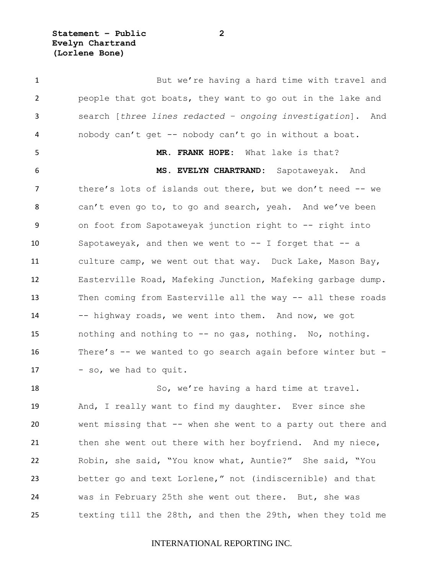**Statement – Public 2 Evelyn Chartrand (Lorlene Bone)**

1 But we're having a hard time with travel and people that got boats, they want to go out in the lake and search [*three lines redacted – ongoing investigation*]. And nobody can't get -- nobody can't go in without a boat. **MR. FRANK HOPE:** What lake is that? **MS. EVELYN CHARTRAND:** Sapotaweyak. And there's lots of islands out there, but we don't need -- we can't even go to, to go and search, yeah. And we've been on foot from Sapotaweyak junction right to -- right into Sapotaweyak, and then we went to -- I forget that -- a culture camp, we went out that way. Duck Lake, Mason Bay, Easterville Road, Mafeking Junction, Mafeking garbage dump. Then coming from Easterville all the way -- all these roads 14 -- highway roads, we went into them. And now, we got nothing and nothing to -- no gas, nothing. No, nothing. There's -- we wanted to go search again before winter but - 17 - so, we had to quit.

18 So, we're having a hard time at travel. And, I really want to find my daughter. Ever since she went missing that -- when she went to a party out there and 21 then she went out there with her boyfriend. And my niece, Robin, she said, "You know what, Auntie?" She said, "You better go and text Lorlene," not (indiscernible) and that was in February 25th she went out there. But, she was texting till the 28th, and then the 29th, when they told me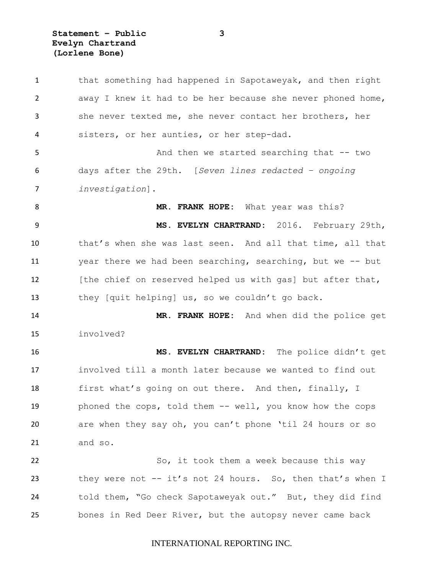**Statement – Public 3 Evelyn Chartrand (Lorlene Bone)**

 that something had happened in Sapotaweyak, and then right away I knew it had to be her because she never phoned home, she never texted me, she never contact her brothers, her sisters, or her aunties, or her step-dad. 5 And then we started searching that  $-$  two days after the 29th. [*Seven lines redacted – ongoing investigation*]. **MR. FRANK HOPE:** What year was this? **MS. EVELYN CHARTRAND:** 2016. February 29th, that's when she was last seen. And all that time, all that year there we had been searching, searching, but we -- but **In 12** [the chief on reserved helped us with gas] but after that, they [quit helping] us, so we couldn't go back. **MR. FRANK HOPE:** And when did the police get involved? **MS. EVELYN CHARTRAND:** The police didn't get involved till a month later because we wanted to find out 18 first what's going on out there. And then, finally, I phoned the cops, told them -- well, you know how the cops are when they say oh, you can't phone 'til 24 hours or so and so. 22 So, it took them a week because this way they were not -- it's not 24 hours. So, then that's when I told them, "Go check Sapotaweyak out." But, they did find bones in Red Deer River, but the autopsy never came back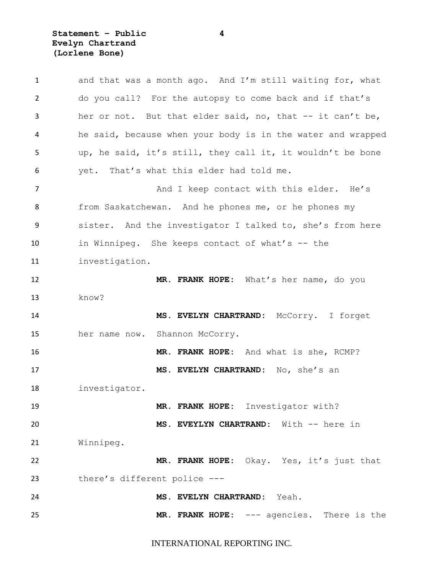**Statement – Public 4 Evelyn Chartrand (Lorlene Bone)**

| $\mathbf{1}$ | and that was a month ago. And I'm still waiting for, what   |
|--------------|-------------------------------------------------------------|
| 2            | do you call? For the autopsy to come back and if that's     |
| 3            | her or not. But that elder said, no, that -- it can't be,   |
| 4            | he said, because when your body is in the water and wrapped |
| 5            | up, he said, it's still, they call it, it wouldn't be bone  |
| 6            | yet. That's what this elder had told me.                    |
| 7            | And I keep contact with this elder. He's                    |
| 8            | from Saskatchewan. And he phones me, or he phones my        |
| 9            | sister. And the investigator I talked to, she's from here   |
| 10           | in Winnipeg. She keeps contact of what's -- the             |
| 11           | investigation.                                              |
| 12           | MR. FRANK HOPE: What's her name, do you                     |
| 13           | know?                                                       |
| 14           | MS. EVELYN CHARTRAND:<br>McCorry. I forget                  |
| 15           | Shannon McCorry.<br>her name now.                           |
| 16           | MR. FRANK HOPE: And what is she, RCMP?                      |
| 17           | MS. EVELYN CHARTRAND: No, she's an                          |
| 18           | investigator.                                               |
| 19           | MR. FRANK HOPE: Investigator with?                          |
| 20           | MS. EVEYLYN CHARTRAND: With -- here in                      |
| 21           | Winnipeg.                                                   |
| 22           | MR. FRANK HOPE: Okay. Yes, it's just that                   |
| 23           | there's different police ---                                |
| 24           | MS. EVELYN CHARTRAND: Yeah.                                 |
| 25           | MR. FRANK HOPE: --- agencies. There is the                  |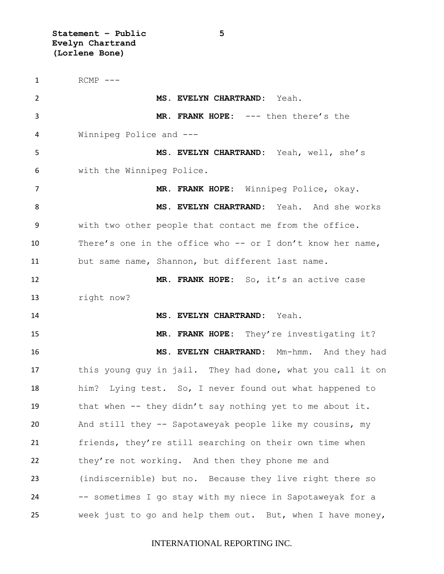**Statement – Public 5 Evelyn Chartrand (Lorlene Bone)**

1 RCMP --- **MS. EVELYN CHARTRAND:** Yeah. **MR. FRANK HOPE:** --- then there's the Winnipeg Police and --- **MS. EVELYN CHARTRAND:** Yeah, well, she's with the Winnipeg Police. **MR. FRANK HOPE:** Winnipeg Police, okay. **MS. EVELYN CHARTRAND:** Yeah. And she works with two other people that contact me from the office. There's one in the office who -- or I don't know her name, but same name, Shannon, but different last name. **MR. FRANK HOPE:** So, it's an active case right now? **MS. EVELYN CHARTRAND:** Yeah. **MR. FRANK HOPE:** They're investigating it? **MS. EVELYN CHARTRAND:** Mm-hmm. And they had this young guy in jail. They had done, what you call it on him? Lying test. So, I never found out what happened to that when -- they didn't say nothing yet to me about it. And still they -- Sapotaweyak people like my cousins, my friends, they're still searching on their own time when they're not working. And then they phone me and (indiscernible) but no. Because they live right there so -- sometimes I go stay with my niece in Sapotaweyak for a week just to go and help them out. But, when I have money,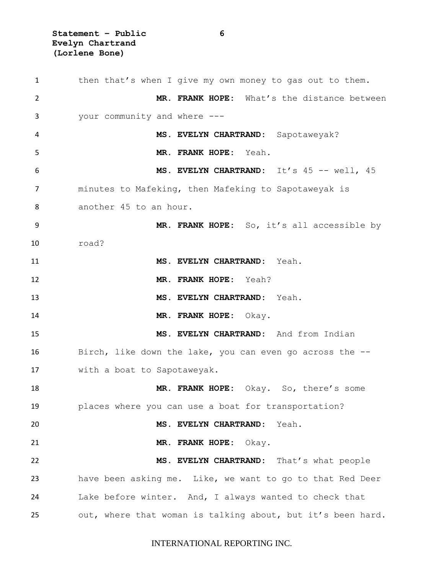**Statement – Public 6 Evelyn Chartrand (Lorlene Bone)**

 then that's when I give my own money to gas out to them. **MR. FRANK HOPE:** What's the distance between your community and where --- **MS. EVELYN CHARTRAND:** Sapotaweyak? **MR. FRANK HOPE:** Yeah. **MS. EVELYN CHARTRAND:** It's 45 -- well, 45 minutes to Mafeking, then Mafeking to Sapotaweyak is another 45 to an hour. **MR. FRANK HOPE:** So, it's all accessible by road? **MS. EVELYN CHARTRAND:** Yeah. **MR. FRANK HOPE:** Yeah? **MS. EVELYN CHARTRAND:** Yeah. **MR. FRANK HOPE:** Okay. **MS. EVELYN CHARTRAND:** And from Indian Birch, like down the lake, you can even go across the -- with a boat to Sapotaweyak. **MR. FRANK HOPE:** Okay. So, there's some places where you can use a boat for transportation? **MS. EVELYN CHARTRAND:** Yeah. **MR. FRANK HOPE:** Okay. **MS. EVELYN CHARTRAND:** That's what people have been asking me. Like, we want to go to that Red Deer Lake before winter. And, I always wanted to check that out, where that woman is talking about, but it's been hard.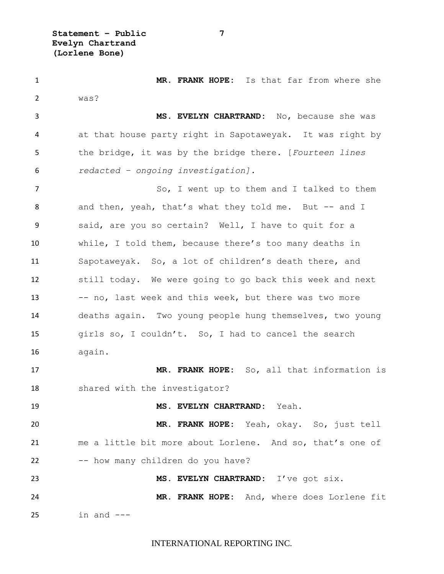**Statement – Public 7 Evelyn Chartrand (Lorlene Bone)**

 **MR. FRANK HOPE:** Is that far from where she was? **MS. EVELYN CHARTRAND:** No, because she was at that house party right in Sapotaweyak. It was right by the bridge, it was by the bridge there. [*Fourteen lines redacted – ongoing investigation].* 7 So, I went up to them and I talked to them 8 and then, yeah, that's what they told me. But -- and I said, are you so certain? Well, I have to quit for a while, I told them, because there's too many deaths in Sapotaweyak. So, a lot of children's death there, and still today. We were going to go back this week and next 13 -- no, last week and this week, but there was two more deaths again. Two young people hung themselves, two young girls so, I couldn't. So, I had to cancel the search again. **MR. FRANK HOPE:** So, all that information is shared with the investigator? **MS. EVELYN CHARTRAND:** Yeah. **MR. FRANK HOPE:** Yeah, okay. So, just tell me a little bit more about Lorlene. And so, that's one of 22 -- how many children do you have? **MS. EVELYN CHARTRAND:** I've got six. **MR. FRANK HOPE:** And, where does Lorlene fit in and  $---$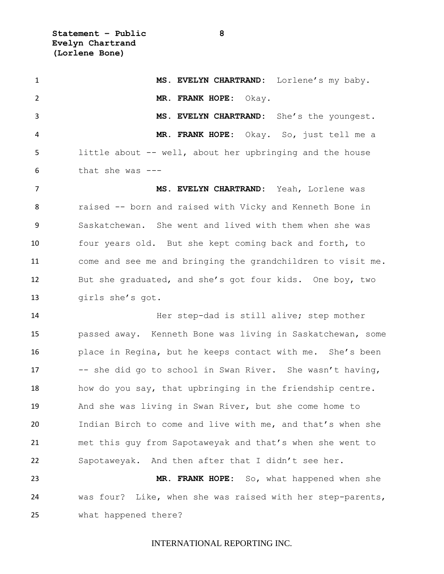**Statement – Public 8 Evelyn Chartrand (Lorlene Bone)**

 **MS. EVELYN CHARTRAND:** Lorlene's my baby. **MR. FRANK HOPE:** Okay. **MS. EVELYN CHARTRAND:** She's the youngest. **MR. FRANK HOPE:** Okay. So, just tell me a little about -- well, about her upbringing and the house that she was  $---$  **MS. EVELYN CHARTRAND:** Yeah, Lorlene was raised -- born and raised with Vicky and Kenneth Bone in Saskatchewan. She went and lived with them when she was four years old. But she kept coming back and forth, to come and see me and bringing the grandchildren to visit me. But she graduated, and she's got four kids. One boy, two girls she's got. **Her step-dad is still alive; step mother**  passed away. Kenneth Bone was living in Saskatchewan, some place in Regina, but he keeps contact with me. She's been -- she did go to school in Swan River. She wasn't having, how do you say, that upbringing in the friendship centre. And she was living in Swan River, but she come home to Indian Birch to come and live with me, and that's when she met this guy from Sapotaweyak and that's when she went to Sapotaweyak. And then after that I didn't see her. **MR. FRANK HOPE:** So, what happened when she was four? Like, when she was raised with her step-parents, what happened there?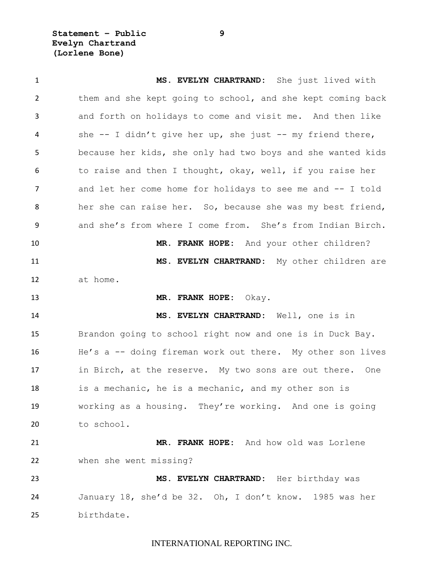**Statement – Public 9 Evelyn Chartrand (Lorlene Bone)**

 **MS. EVELYN CHARTRAND:** She just lived with them and she kept going to school, and she kept coming back and forth on holidays to come and visit me. And then like she -- I didn't give her up, she just -- my friend there, because her kids, she only had two boys and she wanted kids to raise and then I thought, okay, well, if you raise her 7 and let her come home for holidays to see me and -- I told her she can raise her. So, because she was my best friend, and she's from where I come from. She's from Indian Birch. **MR. FRANK HOPE:** And your other children? **MS. EVELYN CHARTRAND:** My other children are at home. **MR. FRANK HOPE:** Okay. **MS. EVELYN CHARTRAND:** Well, one is in Brandon going to school right now and one is in Duck Bay. He's a -- doing fireman work out there. My other son lives in Birch, at the reserve. My two sons are out there. One is a mechanic, he is a mechanic, and my other son is working as a housing. They're working. And one is going to school. **MR. FRANK HOPE:** And how old was Lorlene when she went missing? **MS. EVELYN CHARTRAND:** Her birthday was January 18, she'd be 32. Oh, I don't know. 1985 was her birthdate.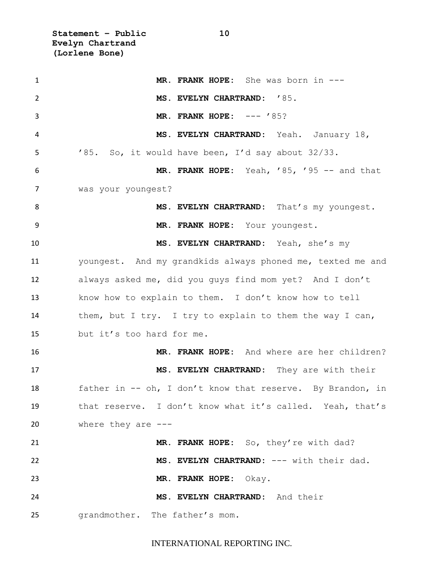**Statement – Public 10 Evelyn Chartrand (Lorlene Bone)**

 **MR. FRANK HOPE:** She was born in --- **MS. EVELYN CHARTRAND:** '85. **MR. FRANK HOPE:** --- '85? **MS. EVELYN CHARTRAND:** Yeah. January 18, '85. So, it would have been, I'd say about 32/33. **MR. FRANK HOPE:** Yeah, '85, '95 -- and that was your youngest? 8 MS. EVELYN CHARTRAND: That's my youngest. **MR. FRANK HOPE:** Your youngest. **MS. EVELYN CHARTRAND:** Yeah, she's my youngest. And my grandkids always phoned me, texted me and always asked me, did you guys find mom yet? And I don't know how to explain to them. I don't know how to tell 14 them, but I try. I try to explain to them the way I can, but it's too hard for me. **MR. FRANK HOPE:** And where are her children? **MS. EVELYN CHARTRAND:** They are with their father in -- oh, I don't know that reserve. By Brandon, in that reserve. I don't know what it's called. Yeah, that's where they are --- **MR. FRANK HOPE:** So, they're with dad? **MS. EVELYN CHARTRAND:** --- with their dad. **MR. FRANK HOPE:** Okay. **MS. EVELYN CHARTRAND:** And their grandmother. The father's mom.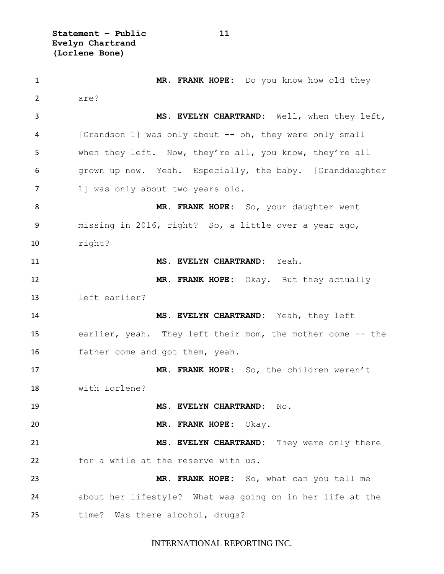**Statement – Public 11 Evelyn Chartrand (Lorlene Bone)**

 **MR. FRANK HOPE:** Do you know how old they 2 are? **MS. EVELYN CHARTRAND:** Well, when they left, [Grandson 1] was only about -- oh, they were only small when they left. Now, they're all, you know, they're all grown up now. Yeah. Especially, the baby. [Granddaughter 7 1] was only about two years old. **MR. FRANK HOPE:** So, your daughter went missing in 2016, right? So, a little over a year ago, right? **MS. EVELYN CHARTRAND:** Yeah. **MR. FRANK HOPE:** Okay. But they actually left earlier? **MS. EVELYN CHARTRAND:** Yeah, they left earlier, yeah. They left their mom, the mother come -- the father come and got them, yeah. **MR. FRANK HOPE:** So, the children weren't with Lorlene? **MS. EVELYN CHARTRAND:** No. **MR. FRANK HOPE:** Okay. **MS. EVELYN CHARTRAND:** They were only there for a while at the reserve with us. **MR. FRANK HOPE:** So, what can you tell me about her lifestyle? What was going on in her life at the time? Was there alcohol, drugs?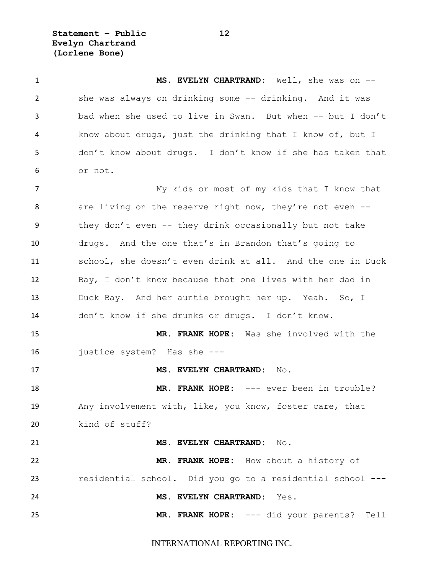**Statement – Public 12 Evelyn Chartrand (Lorlene Bone)**

 **MS. EVELYN CHARTRAND:** Well, she was on -- she was always on drinking some -- drinking. And it was bad when she used to live in Swan. But when -- but I don't know about drugs, just the drinking that I know of, but I don't know about drugs. I don't know if she has taken that or not. My kids or most of my kids that I know that 8 are living on the reserve right now, they're not even -- they don't even -- they drink occasionally but not take drugs. And the one that's in Brandon that's going to school, she doesn't even drink at all. And the one in Duck Bay, I don't know because that one lives with her dad in Duck Bay. And her auntie brought her up. Yeah. So, I don't know if she drunks or drugs. I don't know. **MR. FRANK HOPE:** Was she involved with the justice system? Has she --- **MS. EVELYN CHARTRAND:** No. **MR. FRANK HOPE:** --- ever been in trouble? Any involvement with, like, you know, foster care, that kind of stuff? **MS. EVELYN CHARTRAND:** No. **MR. FRANK HOPE:** How about a history of residential school. Did you go to a residential school --- **MS. EVELYN CHARTRAND:** Yes. **MR. FRANK HOPE:** --- did your parents? Tell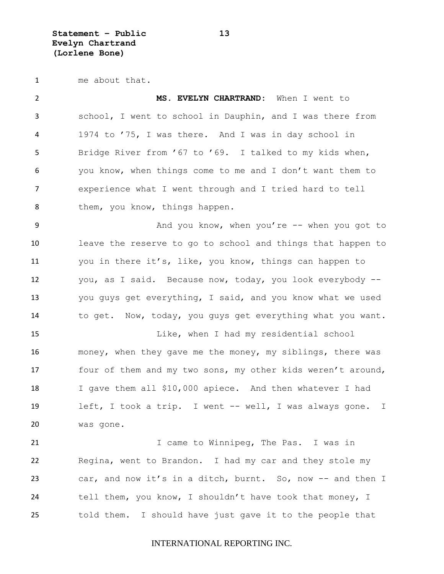**Statement – Public 13 Evelyn Chartrand (Lorlene Bone)**

me about that.

 **MS. EVELYN CHARTRAND:** When I went to school, I went to school in Dauphin, and I was there from 1974 to '75, I was there. And I was in day school in Bridge River from '67 to '69. I talked to my kids when, you know, when things come to me and I don't want them to experience what I went through and I tried hard to tell 8 them, you know, things happen. And you know, when you're -- when you got to leave the reserve to go to school and things that happen to you in there it's, like, you know, things can happen to you, as I said. Because now, today, you look everybody -- you guys get everything, I said, and you know what we used to get. Now, today, you guys get everything what you want. Like, when I had my residential school money, when they gave me the money, my siblings, there was 17 four of them and my two sons, my other kids weren't around, I gave them all \$10,000 apiece. And then whatever I had left, I took a trip. I went -- well, I was always gone. I was gone. 21 1 1 Came to Winnipeg, The Pas. I was in Regina, went to Brandon. I had my car and they stole my car, and now it's in a ditch, burnt. So, now -- and then I 24 tell them, you know, I shouldn't have took that money, I told them. I should have just gave it to the people that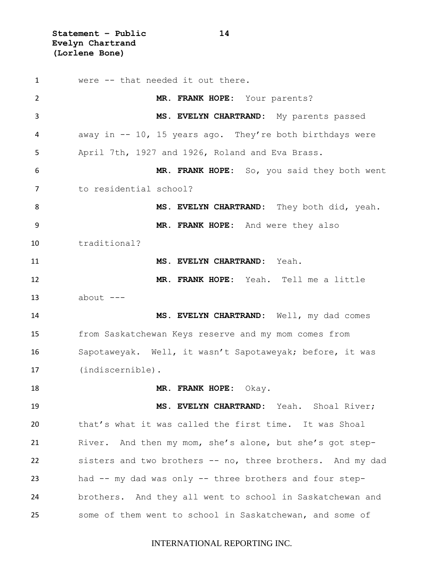**Statement – Public 14 Evelyn Chartrand (Lorlene Bone)**

 were -- that needed it out there. **MR. FRANK HOPE:** Your parents? **MS. EVELYN CHARTRAND:** My parents passed away in -- 10, 15 years ago. They're both birthdays were April 7th, 1927 and 1926, Roland and Eva Brass. **MR. FRANK HOPE:** So, you said they both went to residential school? **MS. EVELYN CHARTRAND:** They both did, yeah. **MR. FRANK HOPE:** And were they also traditional? **MS. EVELYN CHARTRAND:** Yeah. **MR. FRANK HOPE:** Yeah. Tell me a little about  $---$  **MS. EVELYN CHARTRAND:** Well, my dad comes from Saskatchewan Keys reserve and my mom comes from Sapotaweyak. Well, it wasn't Sapotaweyak; before, it was (indiscernible). **MR. FRANK HOPE:** Okay. **MS. EVELYN CHARTRAND:** Yeah. Shoal River; that's what it was called the first time. It was Shoal River. And then my mom, she's alone, but she's got step- sisters and two brothers -- no, three brothers. And my dad had -- my dad was only -- three brothers and four step- brothers. And they all went to school in Saskatchewan and some of them went to school in Saskatchewan, and some of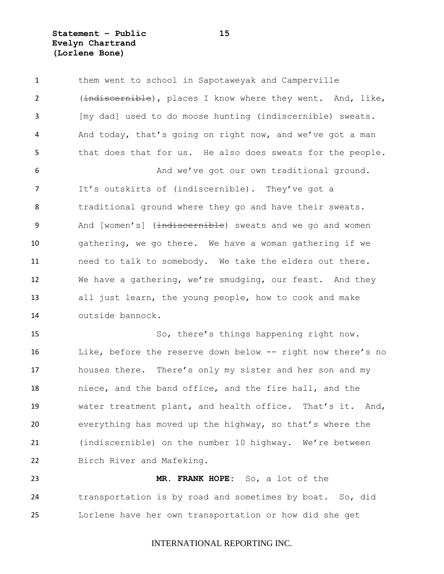**Statement – Public 15 Evelyn Chartrand (Lorlene Bone)**

1 them went to school in Sapotaweyak and Camperville 2 (indiscernible), places I know where they went. And, like, [my dad] used to do moose hunting (indiscernible) sweats. And today, that's going on right now, and we've got a man that does that for us. He also does sweats for the people. 6 And we've got our own traditional ground. It's outskirts of (indiscernible). They've got a 8 traditional ground where they go and have their sweats. 9 And [women's] (indiscernible) sweats and we go and women gathering, we go there. We have a woman gathering if we need to talk to somebody. We take the elders out there. We have a gathering, we're smudging, our feast. And they all just learn, the young people, how to cook and make outside bannock.

 So, there's things happening right now. Like, before the reserve down below -- right now there's no houses there. There's only my sister and her son and my niece, and the band office, and the fire hall, and the water treatment plant, and health office. That's it. And, everything has moved up the highway, so that's where the (indiscernible) on the number 10 highway. We're between Birch River and Mafeking.

 **MR. FRANK HOPE:** So, a lot of the transportation is by road and sometimes by boat. So, did Lorlene have her own transportation or how did she get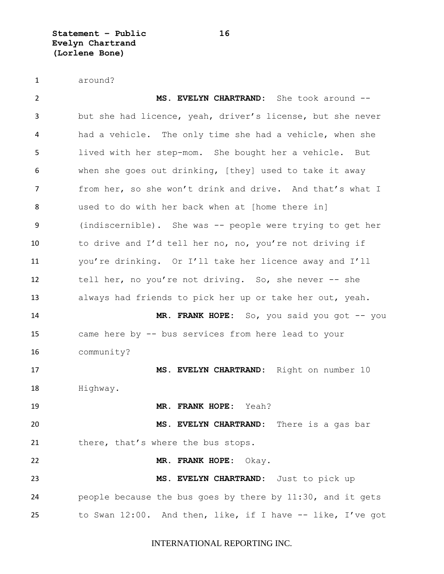**Statement – Public 16 Evelyn Chartrand (Lorlene Bone)**

around?

 **MS. EVELYN CHARTRAND:** She took around -- but she had licence, yeah, driver's license, but she never had a vehicle. The only time she had a vehicle, when she lived with her step-mom. She bought her a vehicle. But when she goes out drinking, [they] used to take it away from her, so she won't drink and drive. And that's what I used to do with her back when at [home there in] (indiscernible). She was -- people were trying to get her to drive and I'd tell her no, no, you're not driving if you're drinking. Or I'll take her licence away and I'll tell her, no you're not driving. So, she never -- she always had friends to pick her up or take her out, yeah. **MR. FRANK HOPE:** So, you said you got -- you came here by -- bus services from here lead to your community? **MS. EVELYN CHARTRAND:** Right on number 10 Highway. **MR. FRANK HOPE:** Yeah? **MS. EVELYN CHARTRAND:** There is a gas bar 21 there, that's where the bus stops. **MR. FRANK HOPE:** Okay. **MS. EVELYN CHARTRAND:** Just to pick up people because the bus goes by there by 11:30, and it gets to Swan 12:00. And then, like, if I have -- like, I've got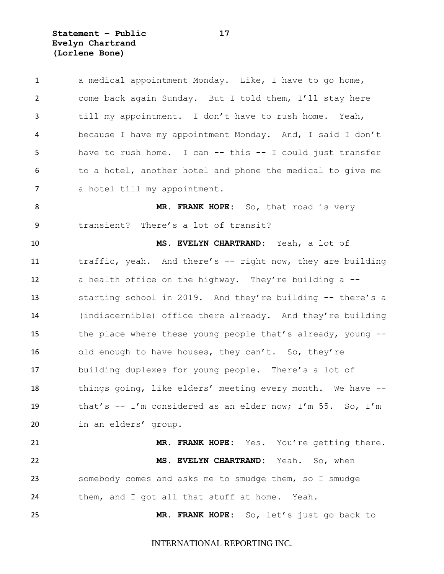**Statement – Public 17 Evelyn Chartrand (Lorlene Bone)**

| 1              | a medical appointment Monday. Like, I have to go home,      |
|----------------|-------------------------------------------------------------|
| $\overline{2}$ | come back again Sunday. But I told them, I'll stay here     |
| 3              | till my appointment. I don't have to rush home. Yeah,       |
| 4              | because I have my appointment Monday. And, I said I don't   |
| 5              | have to rush home. I can -- this -- I could just transfer   |
| 6              | to a hotel, another hotel and phone the medical to give me  |
| $\overline{7}$ | a hotel till my appointment.                                |
| 8              | MR. FRANK HOPE: So, that road is very                       |
| 9              | transient? There's a lot of transit?                        |
| 10             | MS. EVELYN CHARTRAND: Yeah, a lot of                        |
| 11             | traffic, yeah. And there's -- right now, they are building  |
| 12             | a health office on the highway. They're building a --       |
| 13             | starting school in 2019. And they're building -- there's a  |
| 14             | (indiscernible) office there already. And they're building  |
| 15             | the place where these young people that's already, young -- |
| 16             | old enough to have houses, they can't. So, they're          |
| 17             | building duplexes for young people. There's a lot of        |
| 18             | things going, like elders' meeting every month. We have --  |
| 19             | that's -- I'm considered as an elder now; I'm 55. So, I'm   |
| 20             | in an elders' group.                                        |
| 21             | MR. FRANK HOPE: Yes. You're getting there.                  |
| 22             | MS. EVELYN CHARTRAND: Yeah. So, when                        |
| 23             | somebody comes and asks me to smudge them, so I smudge      |
| 24             | them, and I got all that stuff at home. Yeah.               |
| 25             | MR. FRANK HOPE: So, let's just go back to                   |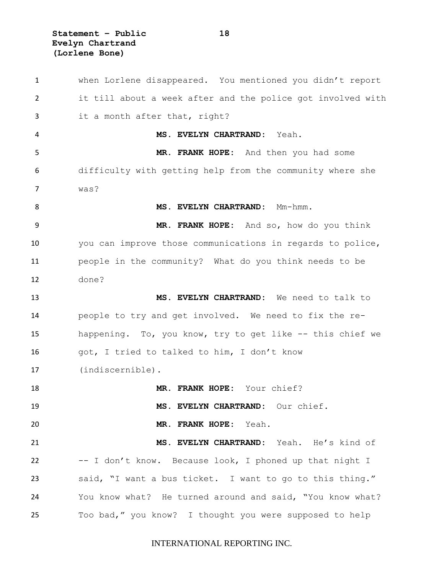**Statement – Public 18 Evelyn Chartrand (Lorlene Bone)**

 when Lorlene disappeared. You mentioned you didn't report it till about a week after and the police got involved with it a month after that, right? **MS. EVELYN CHARTRAND:** Yeah. **MR. FRANK HOPE:** And then you had some difficulty with getting help from the community where she was? 8 MS. EVELYN CHARTRAND: Mm-hmm. **MR. FRANK HOPE:** And so, how do you think you can improve those communications in regards to police, people in the community? What do you think needs to be done? **MS. EVELYN CHARTRAND:** We need to talk to people to try and get involved. We need to fix the re- happening. To, you know, try to get like -- this chief we got, I tried to talked to him, I don't know (indiscernible). **MR. FRANK HOPE:** Your chief? **MS. EVELYN CHARTRAND:** Our chief. **MR. FRANK HOPE:** Yeah. **MS. EVELYN CHARTRAND:** Yeah. He's kind of -- I don't know. Because look, I phoned up that night I said, "I want a bus ticket. I want to go to this thing." You know what? He turned around and said, "You know what? Too bad," you know? I thought you were supposed to help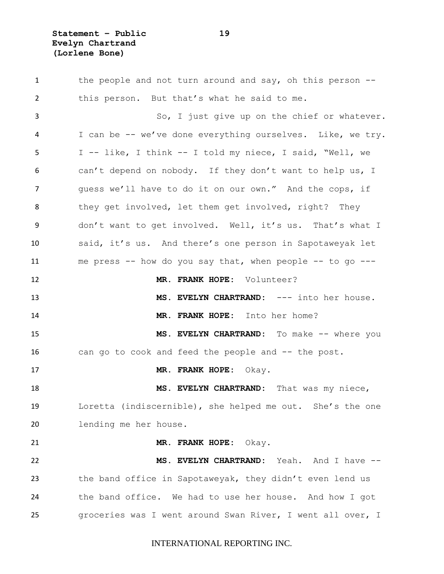**Statement – Public 19 Evelyn Chartrand (Lorlene Bone)**

1 the people and not turn around and say, oh this person -- this person. But that's what he said to me. So, I just give up on the chief or whatever. I can be -- we've done everything ourselves. Like, we try. I -- like, I think -- I told my niece, I said, "Well, we can't depend on nobody. If they don't want to help us, I guess we'll have to do it on our own." And the cops, if 8 they get involved, let them get involved, right? They don't want to get involved. Well, it's us. That's what I said, it's us. And there's one person in Sapotaweyak let 11 me press -- how do you say that, when people -- to go --- **MR. FRANK HOPE:** Volunteer? **MS. EVELYN CHARTRAND:** --- into her house. **MR. FRANK HOPE:** Into her home? **MS. EVELYN CHARTRAND:** To make -- where you can go to cook and feed the people and -- the post. **MR. FRANK HOPE:** Okay. **MS. EVELYN CHARTRAND:** That was my niece, Loretta (indiscernible), she helped me out. She's the one lending me her house. **MR. FRANK HOPE:** Okay. **MS. EVELYN CHARTRAND:** Yeah. And I have -- the band office in Sapotaweyak, they didn't even lend us the band office. We had to use her house. And how I got groceries was I went around Swan River, I went all over, I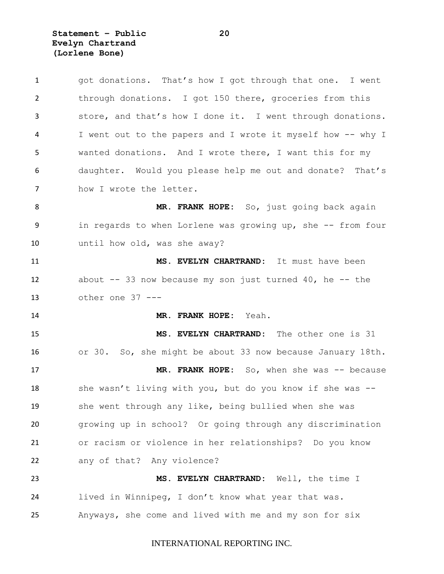**Statement – Public 20 Evelyn Chartrand (Lorlene Bone)**

| $\mathbf{1}$   | got donations. That's how I got through that one. I went     |
|----------------|--------------------------------------------------------------|
| $\overline{2}$ | through donations. I got 150 there, groceries from this      |
| 3              | store, and that's how I done it. I went through donations.   |
| 4              | I went out to the papers and I wrote it myself how -- why I  |
| 5              | wanted donations. And I wrote there, I want this for my      |
| 6              | daughter. Would you please help me out and donate? That's    |
| 7              | how I wrote the letter.                                      |
| 8              | MR. FRANK HOPE: So, just going back again                    |
| 9              | in regards to when Lorlene was growing up, she -- from four  |
| 10             | until how old, was she away?                                 |
| 11             | MS. EVELYN CHARTRAND: It must have been                      |
| 12             | about $--$ 33 now because my son just turned 40, he $--$ the |
| 13             | other one $37$ ---                                           |
|                |                                                              |
| 14             | MR. FRANK HOPE: Yeah.                                        |
| 15             | MS. EVELYN CHARTRAND: The other one is 31                    |
| 16             | or 30. So, she might be about 33 now because January 18th.   |
| 17             | MR. FRANK HOPE: So, when she was -- because                  |
| 18             | she wasn't living with you, but do you know if she was --    |
| 19             | she went through any like, being bullied when she was        |
| 20             | growing up in school? Or going through any discrimination    |
| 21             | or racism or violence in her relationships? Do you know      |
| 22             | any of that? Any violence?                                   |
| 23             | MS. EVELYN CHARTRAND: Well, the time I                       |
| 24             | lived in Winnipeg, I don't know what year that was.          |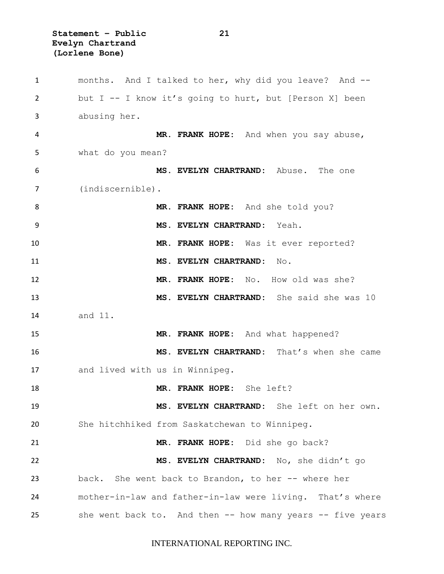**Statement – Public 21 Evelyn Chartrand (Lorlene Bone)**

 months. And I talked to her, why did you leave? And -- but I -- I know it's going to hurt, but [Person X] been abusing her. **MR. FRANK HOPE:** And when you say abuse, what do you mean? **MS. EVELYN CHARTRAND:** Abuse. The one (indiscernible). **MR. FRANK HOPE:** And she told you? **MS. EVELYN CHARTRAND:** Yeah. **MR. FRANK HOPE:** Was it ever reported? **MS. EVELYN CHARTRAND:** No. **MR. FRANK HOPE:** No. How old was she? **MS. EVELYN CHARTRAND:** She said she was 10 and 11. **MR. FRANK HOPE:** And what happened? **MS. EVELYN CHARTRAND:** That's when she came and lived with us in Winnipeg. **MR. FRANK HOPE:** She left? **MS. EVELYN CHARTRAND:** She left on her own. She hitchhiked from Saskatchewan to Winnipeg. **MR. FRANK HOPE:** Did she go back? **MS. EVELYN CHARTRAND:** No, she didn't go back. She went back to Brandon, to her -- where her mother-in-law and father-in-law were living. That's where she went back to. And then -- how many years -- five years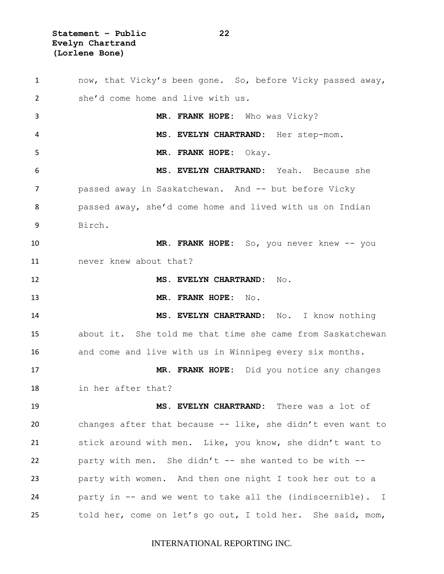**Statement – Public 22 Evelyn Chartrand (Lorlene Bone)**

 now, that Vicky's been gone. So, before Vicky passed away, she'd come home and live with us. **MR. FRANK HOPE:** Who was Vicky? **MS. EVELYN CHARTRAND:** Her step-mom. **MR. FRANK HOPE:** Okay. **MS. EVELYN CHARTRAND:** Yeah. Because she **passed away in Saskatchewan.** And -- but before Vicky passed away, she'd come home and lived with us on Indian Birch. **MR. FRANK HOPE:** So, you never knew -- you never knew about that? **MS. EVELYN CHARTRAND:** No. **MR. FRANK HOPE:** No. **MS. EVELYN CHARTRAND:** No. I know nothing about it. She told me that time she came from Saskatchewan and come and live with us in Winnipeg every six months. **MR. FRANK HOPE:** Did you notice any changes in her after that? **MS. EVELYN CHARTRAND:** There was a lot of changes after that because -- like, she didn't even want to stick around with men. Like, you know, she didn't want to 22 party with men. She didn't  $--$  she wanted to be with  $--$  party with women. And then one night I took her out to a party in -- and we went to take all the (indiscernible). I told her, come on let's go out, I told her. She said, mom,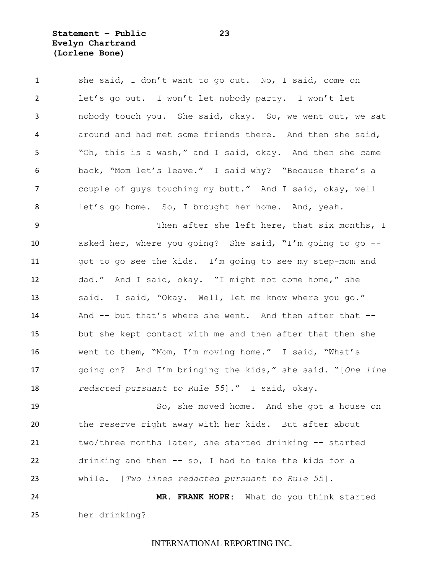### **Statement – Public 23 Evelyn Chartrand (Lorlene Bone)**

| $\mathbf{1}$   | she said, I don't want to go out. No, I said, come on     |
|----------------|-----------------------------------------------------------|
| $\overline{2}$ | let's go out. I won't let nobody party. I won't let       |
| 3              | nobody touch you. She said, okay. So, we went out, we sat |
| 4              | around and had met some friends there. And then she said, |
| 5              | "Oh, this is a wash," and I said, okay. And then she came |
| 6              | back, "Mom let's leave." I said why? "Because there's a   |
| $\overline{7}$ | couple of guys touching my butt." And I said, okay, well  |
| 8              | let's go home. So, I brought her home. And, yeah.         |
| 9              | Then after she left here, that six months, I              |
| 10             | asked her, where you going? She said, "I'm going to go -- |
| 11             | got to go see the kids. I'm going to see my step-mom and  |
| 12             | dad." And I said, okay. "I might not come home," she      |
| 13             | said. I said, "Okay. Well, let me know where you go."     |
| 14             | And -- but that's where she went. And then after that --  |

 but she kept contact with me and then after that then she went to them, "Mom, I'm moving home." I said, "What's going on? And I'm bringing the kids," she said. "[*One line redacted pursuant to Rule 55*]." I said, okay.

 So, she moved home. And she got a house on the reserve right away with her kids. But after about two/three months later, she started drinking -- started drinking and then -- so, I had to take the kids for a while. [*Two lines redacted pursuant to Rule 55*]. **MR. FRANK HOPE:** What do you think started

her drinking?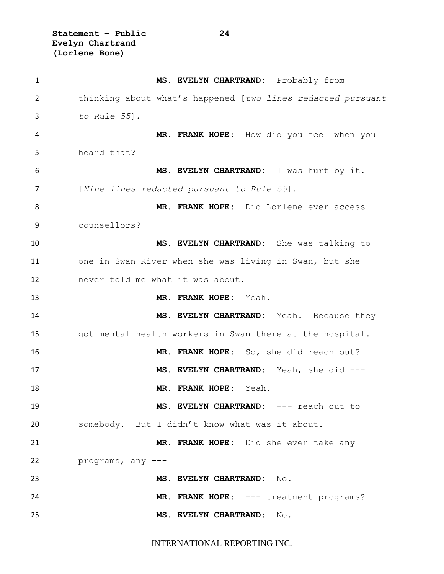**Statement – Public 24 Evelyn Chartrand (Lorlene Bone)**

| $\mathbf{1}$ | MS. EVELYN CHARTRAND: Probably from                         |
|--------------|-------------------------------------------------------------|
| 2            | thinking about what's happened [two lines redacted pursuant |
| 3            | to Rule $55$ ].                                             |
| 4            | MR. FRANK HOPE: How did you feel when you                   |
| 5            | heard that?                                                 |
| 6            | MS. EVELYN CHARTRAND: I was hurt by it.                     |
| 7            | [Nine lines redacted pursuant to Rule 55].                  |
| 8            | MR. FRANK HOPE: Did Lorlene ever access                     |
| 9            | counsellors?                                                |
| 10           | MS. EVELYN CHARTRAND: She was talking to                    |
| 11           | one in Swan River when she was living in Swan, but she      |
| 12           | never told me what it was about.                            |
| 13           | MR. FRANK HOPE: Yeah.                                       |
| 14           | MS. EVELYN CHARTRAND: Yeah. Because they                    |
| 15           | got mental health workers in Swan there at the hospital.    |
| 16           | MR. FRANK HOPE: So, she did reach out?                      |
| 17           | MS. EVELYN CHARTRAND: Yeah, she did ---                     |
| 18           | MR. FRANK HOPE: Yeah.                                       |
| 19           | MS. EVELYN CHARTRAND: --- reach out to                      |
| 20           | somebody. But I didn't know what was it about.              |
| 21           | MR. FRANK HOPE: Did she ever take any                       |
| 22           | programs, any ---                                           |
| 23           | MS. EVELYN CHARTRAND: No.                                   |
| 24           | MR. FRANK HOPE: --- treatment programs?                     |
| 25           | MS. EVELYN CHARTRAND: No.                                   |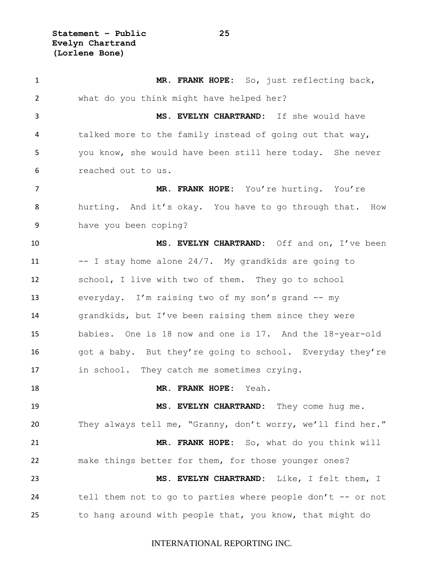**MR. FRANK HOPE:** So, just reflecting back, what do you think might have helped her? **MS. EVELYN CHARTRAND:** If she would have talked more to the family instead of going out that way, you know, she would have been still here today. She never reached out to us. **MR. FRANK HOPE:** You're hurting. You're hurting. And it's okay. You have to go through that. How have you been coping? **MS. EVELYN CHARTRAND:** Off and on, I've been -- I stay home alone 24/7. My grandkids are going to school, I live with two of them. They go to school everyday. I'm raising two of my son's grand -- my grandkids, but I've been raising them since they were babies. One is 18 now and one is 17. And the 18-year-old 16 got a baby. But they're going to school. Everyday they're in school. They catch me sometimes crying. **MR. FRANK HOPE:** Yeah. **MS. EVELYN CHARTRAND:** They come hug me. They always tell me, "Granny, don't worry, we'll find her." **MR. FRANK HOPE:** So, what do you think will make things better for them, for those younger ones? **MS. EVELYN CHARTRAND:** Like, I felt them, I 24 tell them not to go to parties where people don't -- or not to hang around with people that, you know, that might do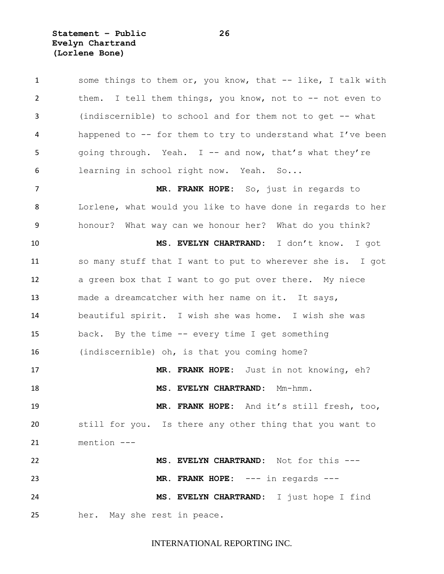**Statement – Public 26 Evelyn Chartrand (Lorlene Bone)**

1 some things to them or, you know, that -- like, I talk with them. I tell them things, you know, not to -- not even to (indiscernible) to school and for them not to get -- what happened to -- for them to try to understand what I've been 5 going through. Yeah. I -- and now, that's what they're learning in school right now. Yeah. So... **MR. FRANK HOPE:** So, just in regards to Lorlene, what would you like to have done in regards to her honour? What way can we honour her? What do you think? **MS. EVELYN CHARTRAND:** I don't know. I got so many stuff that I want to put to wherever she is. I got a green box that I want to go put over there. My niece made a dreamcatcher with her name on it. It says, beautiful spirit. I wish she was home. I wish she was back. By the time -- every time I get something (indiscernible) oh, is that you coming home? **MR. FRANK HOPE:** Just in not knowing, eh? **MS. EVELYN CHARTRAND:** Mm-hmm. **MR. FRANK HOPE:** And it's still fresh, too, still for you. Is there any other thing that you want to mention --- **MS. EVELYN CHARTRAND:** Not for this --- **MR. FRANK HOPE:** --- in regards --- **MS. EVELYN CHARTRAND:** I just hope I find her. May she rest in peace.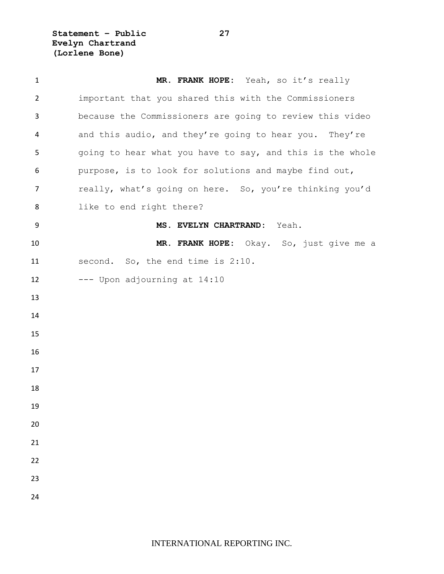**Statement – Public 27 Evelyn Chartrand (Lorlene Bone)**

| $\mathbf{1}$   | MR. FRANK HOPE: Yeah, so it's really                      |
|----------------|-----------------------------------------------------------|
| $\overline{2}$ | important that you shared this with the Commissioners     |
| 3              | because the Commissioners are going to review this video  |
| 4              | and this audio, and they're going to hear you. They're    |
| 5              | going to hear what you have to say, and this is the whole |
| 6              | purpose, is to look for solutions and maybe find out,     |
| $\overline{7}$ | really, what's going on here. So, you're thinking you'd   |
| 8              | like to end right there?                                  |
| 9              | MS. EVELYN CHARTRAND:<br>Yeah.                            |
| 10             | MR. FRANK HOPE: Okay. So, just give me a                  |
| 11             | second. So, the end time is 2:10.                         |
| 12             | --- Upon adjourning at 14:10                              |
| 13             |                                                           |
| 14             |                                                           |
| 15             |                                                           |
| 16             |                                                           |
| 17             |                                                           |
| 18             |                                                           |
| 19             |                                                           |
| 20             |                                                           |
| 21             |                                                           |
| 22             |                                                           |
| 23             |                                                           |
| 24             |                                                           |